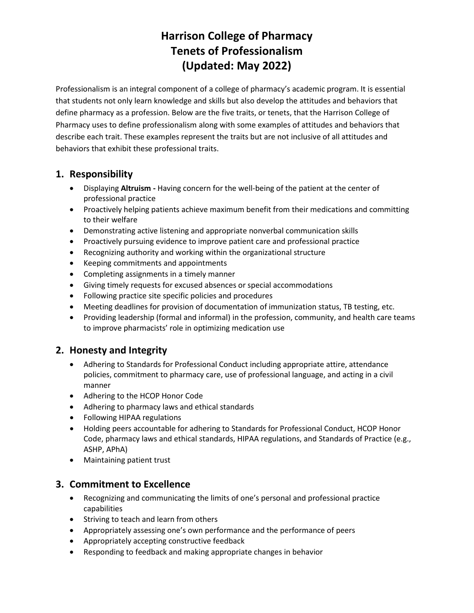# **Harrison College of Pharmacy Tenets of Professionalism (Updated: May 2022)**

Professionalism is an integral component of a college of pharmacy's academic program. It is essential that students not only learn knowledge and skills but also develop the attitudes and behaviors that define pharmacy as a profession. Below are the five traits, or tenets, that the Harrison College of Pharmacy uses to define professionalism along with some examples of attitudes and behaviors that describe each trait. These examples represent the traits but are not inclusive of all attitudes and behaviors that exhibit these professional traits.

### **1. Responsibility**

- Displaying **Altruism -** Having concern for the well-being of the patient at the center of professional practice
- Proactively helping patients achieve maximum benefit from their medications and committing to their welfare
- Demonstrating active listening and appropriate nonverbal communication skills
- Proactively pursuing evidence to improve patient care and professional practice
- Recognizing authority and working within the organizational structure
- Keeping commitments and appointments
- Completing assignments in a timely manner
- Giving timely requests for excused absences or special accommodations
- Following practice site specific policies and procedures
- Meeting deadlines for provision of documentation of immunization status, TB testing, etc.
- Providing leadership (formal and informal) in the profession, community, and health care teams to improve pharmacists' role in optimizing medication use

### **2. Honesty and Integrity**

- Adhering to Standards for Professional Conduct including appropriate attire, attendance policies, commitment to pharmacy care, use of professional language, and acting in a civil manner
- Adhering to the HCOP Honor Code
- Adhering to pharmacy laws and ethical standards
- Following HIPAA regulations
- Holding peers accountable for adhering to Standards for Professional Conduct, HCOP Honor Code, pharmacy laws and ethical standards, HIPAA regulations, and Standards of Practice (e.g., ASHP, APhA)
- Maintaining patient trust

#### **3. Commitment to Excellence**

- Recognizing and communicating the limits of one's personal and professional practice capabilities
- Striving to teach and learn from others
- Appropriately assessing one's own performance and the performance of peers
- Appropriately accepting constructive feedback
- Responding to feedback and making appropriate changes in behavior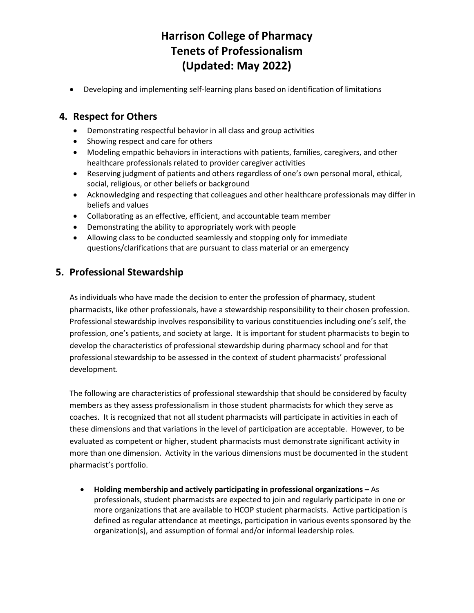## **Harrison College of Pharmacy Tenets of Professionalism (Updated: May 2022)**

• Developing and implementing self-learning plans based on identification of limitations

#### **4. Respect for Others**

- Demonstrating respectful behavior in all class and group activities
- Showing respect and care for others
- Modeling empathic behaviors in interactions with patients, families, caregivers, and other healthcare professionals related to provider caregiver activities
- Reserving judgment of patients and others regardless of one's own personal moral, ethical, social, religious, or other beliefs or background
- Acknowledging and respecting that colleagues and other healthcare professionals may differ in beliefs and values
- Collaborating as an effective, efficient, and accountable team member
- Demonstrating the ability to appropriately work with people
- Allowing class to be conducted seamlessly and stopping only for immediate questions/clarifications that are pursuant to class material or an emergency

#### **5. Professional Stewardship**

As individuals who have made the decision to enter the profession of pharmacy, student pharmacists, like other professionals, have a stewardship responsibility to their chosen profession. Professional stewardship involves responsibility to various constituencies including one's self, the profession, one's patients, and society at large. It is important for student pharmacists to begin to develop the characteristics of professional stewardship during pharmacy school and for that professional stewardship to be assessed in the context of student pharmacists' professional development.

The following are characteristics of professional stewardship that should be considered by faculty members as they assess professionalism in those student pharmacists for which they serve as coaches. It is recognized that not all student pharmacists will participate in activities in each of these dimensions and that variations in the level of participation are acceptable. However, to be evaluated as competent or higher, student pharmacists must demonstrate significant activity in more than one dimension. Activity in the various dimensions must be documented in the student pharmacist's portfolio.

• **Holding membership and actively participating in professional organizations –** As professionals, student pharmacists are expected to join and regularly participate in one or more organizations that are available to HCOP student pharmacists. Active participation is defined as regular attendance at meetings, participation in various events sponsored by the organization(s), and assumption of formal and/or informal leadership roles.